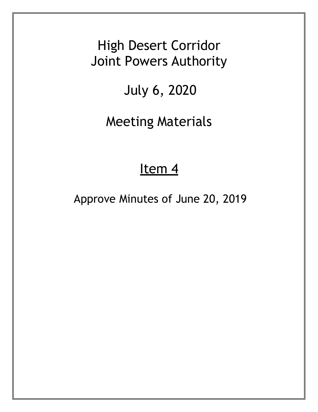High Desert Corridor Joint Powers Authority

## July 6, 2020

Meeting Materials

## Item<sub>4</sub>

Approve Minutes of June 20, 2019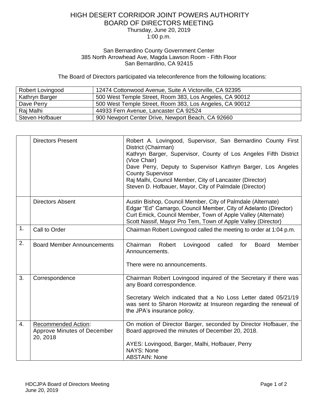## HIGH DESERT CORRIDOR JOINT POWERS AUTHORITY BOARD OF DIRECTORS MEETING Thursday, June 20, 2019 1:00 p.m.

## San Bernardino County Government Center 385 North Arrowhead Ave, Magda Lawson Room - Fifth Floor San Bernardino, CA 92415

The Board of Directors participated via teleconference from the following locations:

| Robert Lovingood | 12474 Cottonwood Avenue, Suite A Victorville, CA 92395  |
|------------------|---------------------------------------------------------|
| Kathryn Barger   | 500 West Temple Street, Room 383, Los Angeles, CA 90012 |
| Dave Perry       | 500 West Temple Street, Room 383, Los Angeles, CA 90012 |
| Rai Malhi        | 44933 Fern Avenue, Lancaster CA 92524                   |
| Steven Hofbauer  | 900 Newport Center Drive, Newport Beach, CA 92660       |

|    | <b>Directors Present</b>                                              | Robert A. Lovingood, Supervisor, San Bernardino County First<br>District (Chairman)<br>Kathryn Barger, Supervisor, County of Los Angeles Fifth District<br>(Vice Chair)<br>Dave Perry, Deputy to Supervisor Kathryn Barger, Los Angeles<br><b>County Supervisor</b><br>Raj Malhi, Council Member, City of Lancaster (Director)<br>Steven D. Hofbauer, Mayor, City of Palmdale (Director) |
|----|-----------------------------------------------------------------------|------------------------------------------------------------------------------------------------------------------------------------------------------------------------------------------------------------------------------------------------------------------------------------------------------------------------------------------------------------------------------------------|
|    | <b>Directors Absent</b>                                               | Austin Bishop, Council Member, City of Palmdale (Alternate)<br>Edgar "Ed" Camargo, Council Member, City of Adelanto (Director)<br>Curt Emick, Council Member, Town of Apple Valley (Alternate)<br>Scott Nassif, Mayor Pro Tem, Town of Apple Valley (Director)                                                                                                                           |
| 1. | Call to Order                                                         | Chairman Robert Lovingood called the meeting to order at 1:04 p.m.                                                                                                                                                                                                                                                                                                                       |
| 2. | <b>Board Member Announcements</b>                                     | Member<br>Chairman<br>Robert<br>called<br><b>Board</b><br>Lovingood<br>for<br>Announcements.<br>There were no announcements.                                                                                                                                                                                                                                                             |
| 3. | Correspondence                                                        | Chairman Robert Lovingood inquired of the Secretary if there was<br>any Board correspondence.<br>Secretary Welch indicated that a No Loss Letter dated 05/21/19<br>was sent to Sharon Horowitz at Insureon regarding the renewal of<br>the JPA's insurance policy.                                                                                                                       |
| 4. | <b>Recommended Action:</b><br>Approve Minutes of December<br>20, 2018 | On motion of Director Barger, seconded by Director Hofbauer, the<br>Board approved the minutes of December 20, 2018.<br>AYES: Lovingood, Barger, Malhi, Hofbauer, Perry<br><b>NAYS: None</b><br><b>ABSTAIN: None</b>                                                                                                                                                                     |